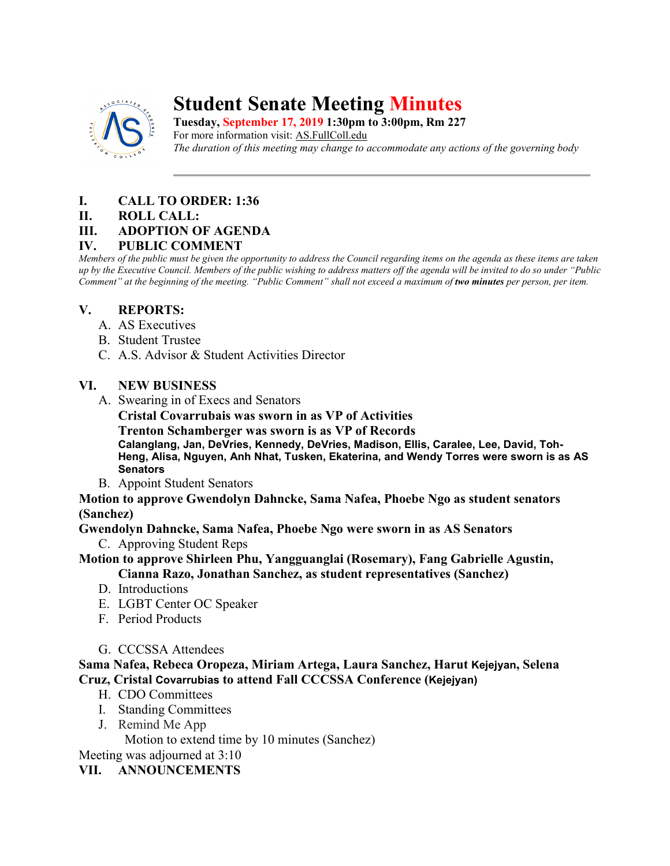

# **Student Senate Meeting Minutes**

**Tuesday, September 17, 2019 1:30pm to 3:00pm, Rm 227** For more information visit: AS.FullColl.edu *The duration of this meeting may change to accommodate any actions of the governing body*

## **I. CALL TO ORDER: 1:36**

**II. ROLL CALL:** 

### **III. ADOPTION OF AGENDA**

#### **IV. PUBLIC COMMENT**

*Members of the public must be given the opportunity to address the Council regarding items on the agenda as these items are taken up by the Executive Council. Members of the public wishing to address matters off the agenda will be invited to do so under "Public Comment" at the beginning of the meeting. "Public Comment" shall not exceed a maximum of two minutes per person, per item.*

### **V. REPORTS:**

- A. AS Executives
- B. Student Trustee
- C. A.S. Advisor & Student Activities Director

### **VI. NEW BUSINESS**

A. Swearing in of Execs and Senators

**Cristal Covarrubais was sworn in as VP of Activities** 

**Trenton Schamberger was sworn is as VP of Records**

**Calanglang, Jan, DeVries, Kennedy, DeVries, Madison, Ellis, Caralee, Lee, David, Toh-Heng, Alisa, Nguyen, Anh Nhat, Tusken, Ekaterina, and Wendy Torres were sworn is as AS Senators**

B. Appoint Student Senators

#### **Motion to approve Gwendolyn Dahncke, Sama Nafea, Phoebe Ngo as student senators (Sanchez)**

**Gwendolyn Dahncke, Sama Nafea, Phoebe Ngo were sworn in as AS Senators**

C. Approving Student Reps

**Motion to approve Shirleen Phu, Yangguanglai (Rosemary), Fang Gabrielle Agustin,**

**Cianna Razo, Jonathan Sanchez, as student representatives (Sanchez)**

- D. Introductions
- E. LGBT Center OC Speaker
- F. Period Products
- G. CCCSSA Attendees

### **Sama Nafea, Rebeca Oropeza, Miriam Artega, Laura Sanchez, Harut Kejejyan, Selena Cruz, Cristal Covarrubias to attend Fall CCCSSA Conference (Kejejyan)**

- H. CDO Committees
- I. Standing Committees
- J. Remind Me App

Motion to extend time by 10 minutes (Sanchez)

Meeting was adjourned at 3:10

### **VII. ANNOUNCEMENTS**